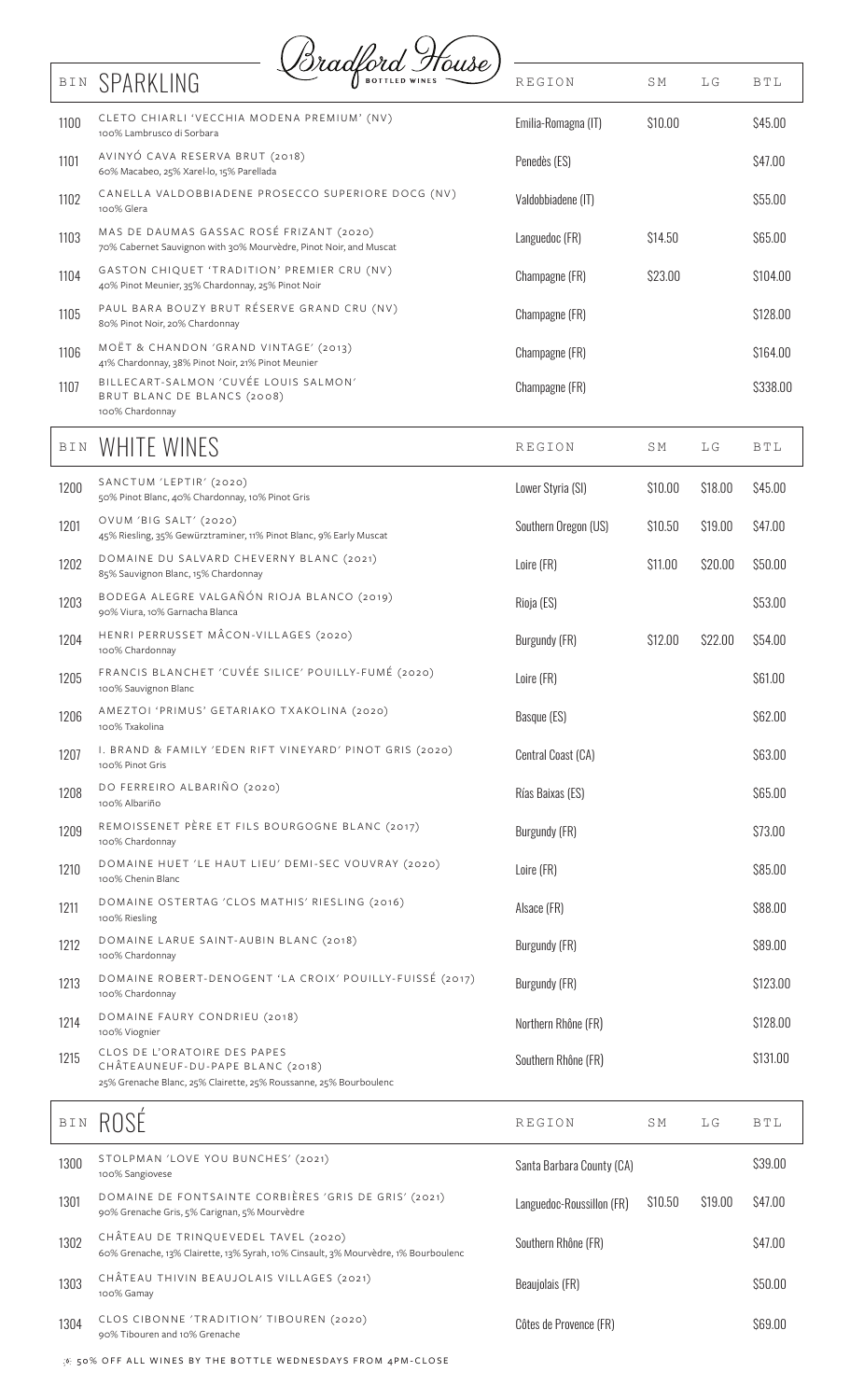

| BIN             | SPARKLING                                                                                                                             | <i>Oradford Trouse</i> )                                 | <b>REGION</b>        | <b>SM</b> | LG      | BTL        |
|-----------------|---------------------------------------------------------------------------------------------------------------------------------------|----------------------------------------------------------|----------------------|-----------|---------|------------|
| 1100            | CLETO CHIARLI 'VECCHIA MODENA PREMIUM' (NV)<br>100% Lambrusco di Sorbara                                                              |                                                          | Emilia-Romagna (IT)  | \$10.00   |         | \$45.00    |
| 1101            | AVINYÓ CAVA RESERVA BRUT (2018)<br>60% Macabeo, 25% Xarel·lo, 15% Parellada                                                           |                                                          | Penedès (ES)         |           |         | \$47.00    |
| 1102            | 100% Glera                                                                                                                            | CANELLA VALDOBBIADENE PROSECCO SUPERIORE DOCG (NV)       | Valdobbiadene (IT)   |           |         | \$55.00    |
| 1103            | MAS DE DAUMAS GASSAC ROSÉ FRIZANT (2020)<br>70% Cabernet Sauvignon with 30% Mourvèdre, Pinot Noir, and Muscat                         |                                                          | Languedoc (FR)       | \$14.50   |         | \$65.00    |
| 1104            | GASTON CHIQUET 'TRADITION' PREMIER CRU (NV)<br>40% Pinot Meunier, 35% Chardonnay, 25% Pinot Noir                                      |                                                          | Champagne (FR)       | \$23.00   |         | \$104.00   |
| 1105            | PAUL BARA BOUZY BRUT RÉSERVE GRAND CRU (NV)<br>80% Pinot Noir, 20% Chardonnay                                                         |                                                          | Champagne (FR)       |           |         | \$128.00   |
| 1106            | MOËT & CHANDON 'GRAND VINTAGE' (2013)<br>41% Chardonnay, 38% Pinot Noir, 21% Pinot Meunier                                            |                                                          | Champagne (FR)       |           |         | \$164.00   |
| 1107            | BILLECART-SALMON 'CUVÉE LOUIS SALMON'<br>BRUT BLANC DE BLANCS (2008)<br>100% Chardonnay                                               |                                                          | Champagne (FR)       |           |         | \$338.00   |
| BIN             | WHITE WINES                                                                                                                           |                                                          | <b>REGION</b>        | <b>SM</b> | LG      | <b>BTL</b> |
| 1200            | SANCTUM 'LEPTIR' (2020)<br>50% Pinot Blanc, 40% Chardonnay, 10% Pinot Gris                                                            |                                                          | Lower Styria (SI)    | \$10.00   | \$18.00 | \$45.00    |
| 1201            | OVUM 'BIG SALT' (2020)<br>45% Riesling, 35% Gewürztraminer, 11% Pinot Blanc, 9% Early Muscat                                          |                                                          | Southern Oregon (US) | \$10.50   | \$19.00 | \$47.00    |
| 1202            | DOMAINE DU SALVARD CHEVERNY BLANC (2021)<br>85% Sauvignon Blanc, 15% Chardonnay                                                       |                                                          | Loire (FR)           | \$11.00   | \$20.00 | \$50.00    |
| 1203            | BODEGA ALEGRE VALGAÑÓN RIOJA BLANCO (2019)<br>90% Viura, 10% Garnacha Blanca                                                          |                                                          | Rioja (ES)           |           |         | \$53.00    |
| 1204            | HENRI PERRUSSET MÂCON-VILLAGES (2020)<br>100% Chardonnay                                                                              |                                                          | Burgundy (FR)        | \$12.00   | \$22.00 | \$54.00    |
| 1205            | 100% Sauvignon Blanc                                                                                                                  | FRANCIS BLANCHET 'CUVÉE SILICE' POUILLY-FUMÉ (2020)      | Loire (FR)           |           |         | \$61.00    |
| 1206            | AMEZTOI 'PRIMUS' GETARIAKO TXAKOLINA (2020)<br>100% Txakolina                                                                         |                                                          | Basque (ES)          |           |         | \$62.00    |
| 1207            | 100% Pinot Gris                                                                                                                       | I. BRAND & FAMILY 'EDEN RIFT VINEYARD' PINOT GRIS (2020) | Central Coast (CA)   |           |         | \$63.00    |
| 1208            | DO FERREIRO ALBARIÑO (2020)<br>100% Albariño                                                                                          |                                                          | Rías Baixas (ES)     |           |         | \$65.00    |
| 1209            | REMOISSENET PÈRE ET FILS BOURGOGNE BLANC (2017)<br>100% Chardonnay                                                                    |                                                          | Burgundy (FR)        |           |         | \$73.00    |
| 1210            | 100% Chenin Blanc                                                                                                                     | DOMAINE HUET 'LE HAUT LIEU' DEMI-SEC VOUVRAY (2020)      | Loire (FR)           |           |         | \$85.00    |
| 1211            | DOMAINE OSTERTAG 'CLOS MATHIS' RIESLING (2016)<br>100% Riesling                                                                       |                                                          | Alsace (FR)          |           |         | \$88.00    |
| 1212            | DOMAINE LARUE SAINT-AUBIN BLANC (2018)<br>100% Chardonnay                                                                             |                                                          | Burgundy (FR)        |           |         | \$89.00    |
| 1213            | 100% Chardonnay                                                                                                                       | DOMAINE ROBERT-DENOGENT 'LA CROIX' POUILLY-FUISSÉ (2017) | Burgundy (FR)        |           |         | \$123.00   |
| 1214            | DOMAINE FAURY CONDRIEU (2018)<br>100% Viognier                                                                                        |                                                          | Northern Rhône (FR)  |           |         | \$128.00   |
| 1215            | CLOS DE L'ORATOIRE DES PAPES<br>CHÂTEAUNEUF-DU-PAPE BLANC (2018)<br>25% Grenache Blanc, 25% Clairette, 25% Roussanne, 25% Bourboulenc |                                                          | Southern Rhône (FR)  |           |         | \$131.00   |
| $\mathbb B$ I N | ROSE                                                                                                                                  |                                                          | REGION               | <b>SM</b> | LG      | BTL        |

|      | IVUUL                                                                                                                      |                           |         |         |         |
|------|----------------------------------------------------------------------------------------------------------------------------|---------------------------|---------|---------|---------|
| 1300 | STOLPMAN 'LOVE YOU BUNCHES' (2021)<br>100% Sangiovese                                                                      | Santa Barbara County (CA) |         | \$39.00 |         |
| 1301 | DOMAINE DE FONTSAINTE CORBIÈRES 'GRIS DE GRIS' (2021)<br>90% Grenache Gris, 5% Carignan, 5% Mourvèdre                      | Languedoc-Roussillon (FR) | \$10.50 | \$19.00 | S47.00  |
| 1302 | CHÂTEAU DE TRINQUEVEDEL TAVEL (2020)<br>60% Grenache, 13% Clairette, 13% Syrah, 10% Cinsault, 3% Mourvèdre, 1% Bourboulenc | Southern Rhône (FR)       |         |         | S47.00  |
| 1303 | CHÂTEAU THIVIN BEAUJOLAIS VILLAGES (2021)<br>100% Gamay                                                                    | Beaujolais (FR)           |         |         | \$50.00 |
| 1304 | CLOS CIBONNE 'TRADITION' TIBOUREN (2020)<br>90% Tibouren and 10% Grenache                                                  | Côtes de Provence (FR)    |         |         | \$69.00 |

 $\langle \delta \rangle$  50% OFF ALL WINES BY THE BOTTLE WEDNESDAYS FROM 4PM-CLOSE